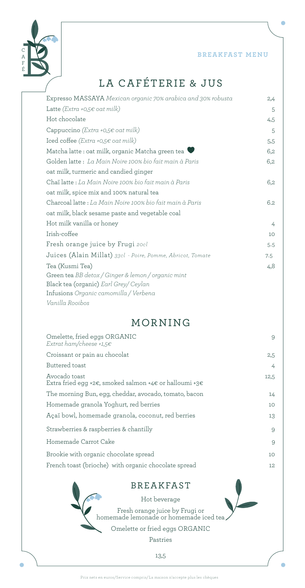**BREAKFAST MENU** 



# LA CAFÉTERIE & JUS

| Expresso MASSAYA Mexican organic 70% arabica and 30% robusta | 2,4 |
|--------------------------------------------------------------|-----|
| Latte ( <i>Extra</i> +0,5 $\epsilon$ oat milk)               | 5   |
| Hot chocolate                                                | 4,5 |
| Cappuccino (Extra +0,5 $\epsilon$ oat milk)                  | 5   |
| Iced coffee (Extra +0,5€ oat milk)                           | 5,5 |
| Matcha latte : oat milk, organic Matcha green tea            | 6,2 |
| Golden latte: La Main Noire 100% bio fait main à Paris       | 6,2 |
| oat milk, turmeric and candied ginger                        |     |
| Chaï latte : La Main Noire 100% bio fait main à Paris        | 6,2 |
| oat milk, spice mix and 100% natural tea                     |     |
| Charcoal latte: La Main Noire 100% bio fait main à Paris     | 6.2 |
| oat milk, black sesame paste and vegetable coal              |     |
| Hot milk vanilla or honey                                    | 4   |
| Irish-coffee                                                 | 10  |
| Fresh orange juice by Frugi 20cl                             | 5.5 |
| Juices (Alain Millat) 33cl - Poire, Pomme, Abricot, Tomate   | 7.5 |
| Tea (Kusmi Tea)                                              | 4,8 |
| Green tea BB detox / Ginger & lemon / organic mint           |     |
| Black tea (organic) Earl Grey/ Ceylan                        |     |
| Infusions Organic camomilla / Verbena                        |     |
| Vanilla Rooibos                                              |     |

# MORNING

| Omelette, fried eggs ORGANIC<br>Extrat ham/cheese +1.5 $\epsilon$       | 9    |
|-------------------------------------------------------------------------|------|
| Croissant or pain au chocolat                                           | 2,5  |
| Buttered toast                                                          | 4    |
| Avocado toast<br>Extra fried egg +2€, smoked salmon +4€ or halloumi +3€ | 12,5 |
| The morning Bun, egg, cheddar, avocado, tomato, bacon                   | 14   |
| Homemade granola Yoghurt, red berries                                   | 10   |
| Açaï bowl, homemade granola, coconut, red berries                       | 13   |
| Strawberries & raspberries & chantilly                                  | 9    |
| Homemade Carrot Cake                                                    | 9    |
| Brookie with organic chocolate spread                                   | 10   |
| French toast (brioche) with organic chocolate spread                    | 12   |

### BREAKFAST

Hot beverage Fresh orange juice by Frugi or homemade lemonade or homemade iced tea Omelette or fried eggs ORGANIC

Pastries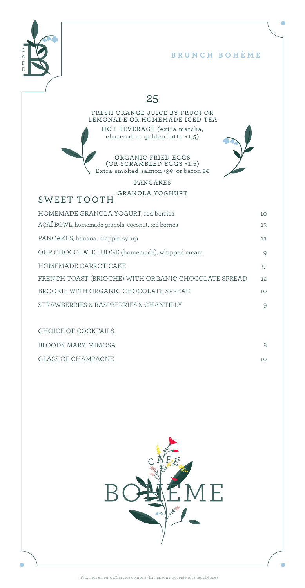

#### **BRUNCH BOHÈME**

ö

### 25

#### FRESH ORANGE JUICE BY FRUGI OR LEMONADE OR HOMEMADE ICED TEA HOT BEVERAGE (extra matcha, charcoal or golden latte +1,5)

ORGANIC FRIED EGGS (OR SCRAMBLED EGGS +1.5) Extra smoked salmon +3€ or bacon 2€

#### PANCAKES GRANOLA YOGHURT

### SWEET TOOTH

| HOMEMADE GRANOLA YOGURT, red berries                 | 10 <sup>°</sup> |
|------------------------------------------------------|-----------------|
| AÇAÏ BOWL, homemade granola, coconut, red berries    | 13              |
| PANCAKES, banana, mapple syrup                       | 13              |
| OUR CHOCOLATE FUDGE (homemade), whipped cream        | 9               |
| HOMEMADE CARROT CAKE                                 | 9               |
| FRENCH TOAST (BRIOCHE) WITH ORGANIC CHOCOLATE SPREAD | 12.             |
| BROOKIE WITH ORGANIC CHOCOLATE SPREAD                | 10 <sup>°</sup> |
| STRAWBERRIES & RASPBERRIES & CHANTILLY               | 9               |

CHOICE OF COCKTAILS BLOODY MARY, MIMOSA 8 GLASS OF CHAMPAGNE 10

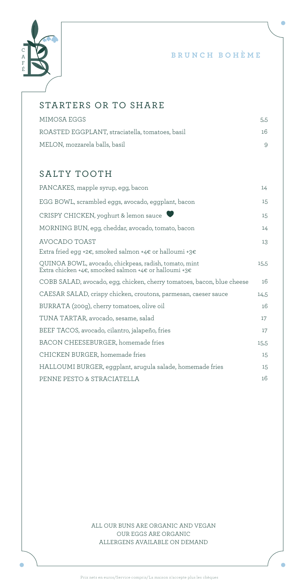

#### **BRUNCH BOHÈME**

 $\bullet$ 

### STARTERS OR TO SHARE

| MIMOSA EGGS                                     | 5,5 |
|-------------------------------------------------|-----|
| ROASTED EGGPLANT, straciatella, tomatoes, basil | 16  |
| MELON, mozzarela balls, basil                   |     |

### SALTY TOOTH

| PANCAKES, mapple syrup, egg, bacon                                                                             | 14   |
|----------------------------------------------------------------------------------------------------------------|------|
| EGG BOWL, scrambled eggs, avocado, eggplant, bacon                                                             | 15   |
| CRISPY CHICKEN, yoghurt & lemon sauce                                                                          | 15   |
| MORNING BUN, egg, cheddar, avocado, tomato, bacon                                                              | 14   |
| AVOCADO TOAST<br>Extra fried egg +2€, smoked salmon +4€ or halloumi +3€                                        | 13   |
| QUINOA BOWL, avocado, chickpeas, radish, tomato, mint<br>Extra chicken +4€, smocked salmon +4€ or halloumi +3€ | 15,5 |
| COBB SALAD, avocado, egg, chicken, cherry tomatoes, bacon, blue cheese                                         | 16   |
| CAESAR SALAD, crispy chicken, croutons, parmesan, caeser sauce                                                 | 14,5 |
| BURRATA (200g), cherry tomatoes, olive oil                                                                     | 16   |
| TUNA TARTAR, avocado, sesame, salad                                                                            | 17   |
| BEEF TACOS, avocado, cilantro, jalapeño, fries                                                                 | 17   |
| BACON CHEESEBURGER, homemade fries                                                                             | 15,5 |
| CHICKEN BURGER, homemade fries                                                                                 | 15   |
| HALLOUMI BURGER, eggplant, arugula salade, homemade fries                                                      | 15   |
| PENNE PESTO & STRACIATELLA                                                                                     | 16   |
|                                                                                                                |      |

ALL OUR BUNS ARE ORGANIC AND VEGAN OUR EGGS ARE ORGANIC ALLERGENS AVAILABLE ON DEMAND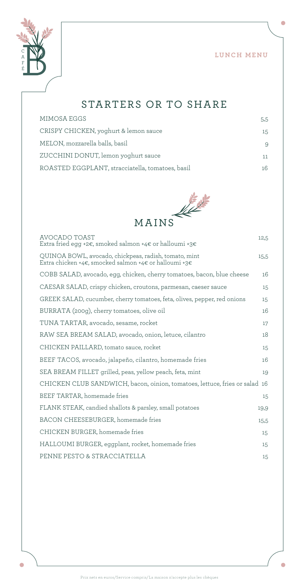o



# STARTERS OR TO SHARE

| MIMOSA EGGS                                      | 5.5 |
|--------------------------------------------------|-----|
| CRISPY CHICKEN, yoghurt & lemon sauce            | 15  |
| MELON, mozzarella balls, basil                   | 9   |
| ZUCCHINI DONUT, lemon yoghurt sauce              | 11  |
| ROASTED EGGPLANT, stracciatella, tomatoes, basil | 16  |
|                                                  |     |



| AVOCADO TOAST<br>Extra fried egg +2€, smoked salmon +4€ or halloumi +3€                                        | 12,5 |
|----------------------------------------------------------------------------------------------------------------|------|
| QUINOA BOWL, avocado, chickpeas, radish, tomato, mint<br>Extra chicken +4€, smocked salmon +4€ or halloumi +3€ | 15,5 |
| COBB SALAD, avocado, egg, chicken, cherry tomatoes, bacon, blue cheese                                         | 16   |
| CAESAR SALAD, crispy chicken, croutons, parmesan, caeser sauce                                                 | 15   |
| GREEK SALAD, cucumber, cherry tomatoes, feta, olives, pepper, red onions                                       | 15   |
| BURRATA (200g), cherry tomatoes, olive oil                                                                     | 16   |
| TUNA TARTAR, avocado, sesame, rocket                                                                           | 17   |
| RAW SEA BREAM SALAD, avocado, onion, letuce, cilantro                                                          | 18   |
| CHICKEN PAILLARD, tomato sauce, rocket                                                                         | 15   |
| BEEF TACOS, avocado, jalapeño, cilantro, homemade fries                                                        | 16   |
| SEA BREAM FILLET grilled, peas, yellow peach, feta, mint                                                       | 19   |
| CHICKEN CLUB SANDWICH, bacon, oinion, tomatoes, lettuce, fries or salad 16                                     |      |
| BEEF TARTAR, homemade fries                                                                                    | 15   |
| FLANK STEAK, candied shallots & parsley, small potatoes                                                        | 19,9 |
| BACON CHEESEBURGER, homemade fries                                                                             | 15,5 |
| CHICKEN BURGER, homemade fries                                                                                 | 15   |
| HALLOUMI BURGER, eggplant, rocket, homemade fries                                                              | 15   |
| PENNE PESTO & STRACCIATELLA                                                                                    | 15   |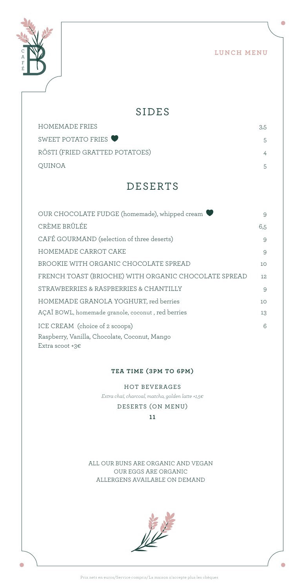LUNCH MENU

 $\bigcirc$ 



C

### SIDES

| HOMEMADE FRIES                 | 3.5 |
|--------------------------------|-----|
| SWEET POTATO FRIES             | 5.  |
| RÖSTI (FRIED GRATTED POTATOES) |     |
| OUINOA                         | 5.  |

# DESERTS

| OUR CHOCOLATE FUDGE (homemade), whipped cream        | 9               |
|------------------------------------------------------|-----------------|
| CRÈME BRÛLÉE                                         | 6.5             |
| CAFÉ GOURMAND (selection of three deserts)           | 9               |
| HOMEMADE CARROT CAKE                                 | 9               |
| BROOKIE WITH ORGANIC CHOCOLATE SPREAD                | 10              |
| FRENCH TOAST (BRIOCHE) WITH ORGANIC CHOCOLATE SPREAD | 12              |
| STRAWBERRIES & RASPBERRIES & CHANTILLY               | 9               |
| HOMEMADE GRANOLA YOGHURT, red berries                | 10 <sup>°</sup> |
| AÇAÏ BOWL, homemade granole, coconut, red berries    | 13              |
| ICE CREAM (choice of 2 scoops)                       | $6\overline{6}$ |
| Raspberry, Vanilla, Chocolate, Coconut, Mango        |                 |
| Extra scoot +3 $\varepsilon$                         |                 |

#### **TEA TIME (3PM TO 6PM)**

HOT BEVERAGES *Extra chaï, charcoal, matcha, golden latte +1,5€* DESERTS (ON MENU) **11**

ALL OUR BUNS ARE ORGANIC AND VEGAN OUR EGGS ARE ORGANIC ALLERGENS AVAILABLE ON DEMAND

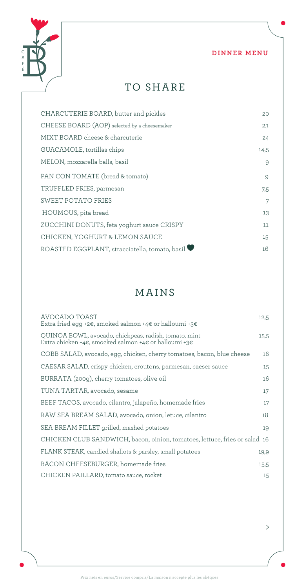

 $\rightarrow$ 



TO SHARE

| CHARCUTERIE BOARD, butter and pickles          | 20   |
|------------------------------------------------|------|
| CHEESE BOARD (AOP) selected by a cheesemaker   | 23   |
| MIXT BOARD cheese & charcuterie                | 24   |
| GUACAMOLE, tortillas chips                     | 14,5 |
| MELON, mozzarella balls, basil                 | 9    |
| PAN CON TOMATE (bread & tomato)                | 9    |
| TRUFFLED FRIES, parmesan                       | 7,5  |
| SWEET POTATO FRIES                             | 7    |
| HOUMOUS, pita bread                            | 13   |
| ZUCCHINI DONUTS, feta yoghurt sauce CRISPY     | 11   |
| CHICKEN, YOGHURT & LEMON SAUCE                 | 15   |
| ROASTED EGGPLANT, stracciatella, tomato, basil | 16   |

# MAINS

| AVOCADO TOAST<br>Extra fried egg +2€, smoked salmon +4€ or halloumi +3€                                        | 12,5 |
|----------------------------------------------------------------------------------------------------------------|------|
| QUINOA BOWL, avocado, chickpeas, radish, tomato, mint<br>Extra chicken +4€, smocked salmon +4€ or halloumi +3€ | 15,5 |
| COBB SALAD, avocado, egg, chicken, cherry tomatoes, bacon, blue cheese                                         | 16   |
| CAESAR SALAD, crispy chicken, croutons, parmesan, caeser sauce                                                 | 15   |
| BURRATA (200g), cherry tomatoes, olive oil                                                                     | 16   |
| TUNA TARTAR, avocado, sesame                                                                                   | 17   |
| BEEF TACOS, avocado, cilantro, jalapeño, homemade fries                                                        | 17   |
| RAW SEA BREAM SALAD, avocado, onion, letuce, cilantro                                                          | 18   |
| SEA BREAM FILLET grilled, mashed potatoes                                                                      | 19   |
| CHICKEN CLUB SANDWICH, bacon, oinion, tomatoes, lettuce, fries or salad 16                                     |      |
| FLANK STEAK, candied shallots & parsley, small potatoes                                                        | 19,9 |
| BACON CHEESEBURGER, homemade fries                                                                             | 15,5 |
| CHICKEN PAILLARD, tomato sauce, rocket                                                                         | 15   |